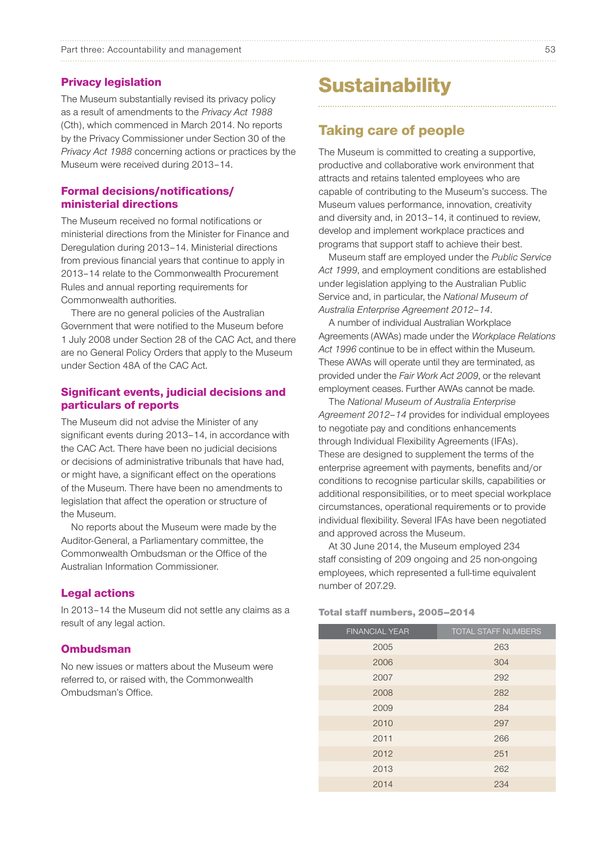#### Part three: Accountability and management 53

#### Privacy legislation

The Museum substantially revised its privacy policy as a result of amendments to the *Privacy Act 1988*  (Cth), which commenced in March 2014. No reports by the Privacy Commissioner under Section 30 of the *Privacy Act 1988* concerning actions or practices by the Museum were received during 2013–14.

## Formal decisions/notifications/ ministerial directions

The Museum received no formal notifications or ministerial directions from the Minister for Finance and Deregulation during 2013–14. Ministerial directions from previous financial years that continue to apply in 2013–14 relate to the Commonwealth Procurement Rules and annual reporting requirements for Commonwealth authorities.

There are no general policies of the Australian Government that were notified to the Museum before 1 July 2008 under Section 28 of the CAC Act, and there are no General Policy Orders that apply to the Museum under Section 48A of the CAC Act.

#### Significant events, judicial decisions and particulars of reports

The Museum did not advise the Minister of any significant events during 2013–14, in accordance with the CAC Act. There have been no judicial decisions or decisions of administrative tribunals that have had, or might have, a significant effect on the operations of the Museum. There have been no amendments to legislation that affect the operation or structure of the Museum.

No reports about the Museum were made by the Auditor-General, a Parliamentary committee, the Commonwealth Ombudsman or the Office of the Australian Information Commissioner.

#### Legal actions

In 2013–14 the Museum did not settle any claims as a result of any legal action.

#### **Ombudsman**

No new issues or matters about the Museum were referred to, or raised with, the Commonwealth Ombudsman's Office.

# **Sustainability**

# Taking care of people

The Museum is committed to creating a supportive, productive and collaborative work environment that attracts and retains talented employees who are capable of contributing to the Museum's success. The Museum values performance, innovation, creativity and diversity and, in 2013–14, it continued to review, develop and implement workplace practices and programs that support staff to achieve their best.

Museum staff are employed under the *Public Service Act 1999*, and employment conditions are established under legislation applying to the Australian Public Service and, in particular, the *National Museum of Australia Enterprise Agreement 2012–14*.

A number of individual Australian Workplace Agreements (AWAs) made under the *Workplace Relations Act 1996* continue to be in effect within the Museum. These AWAs will operate until they are terminated, as provided under the *Fair Work Act 2009*, or the relevant employment ceases. Further AWAs cannot be made.

The *National Museum of Australia Enterprise Agreement 2012–14* provides for individual employees to negotiate pay and conditions enhancements through Individual Flexibility Agreements (IFAs). These are designed to supplement the terms of the enterprise agreement with payments, benefits and/or conditions to recognise particular skills, capabilities or additional responsibilities, or to meet special workplace circumstances, operational requirements or to provide individual flexibility. Several IFAs have been negotiated and approved across the Museum.

At 30 June 2014, the Museum employed 234 staff consisting of 209 ongoing and 25 non-ongoing employees, which represented a full-time equivalent number of 207.29.

#### Total staff numbers, 2005–2014

| <b>FINANCIAL YEAR</b> | <b>TOTAL STAFF NUMBERS</b> |
|-----------------------|----------------------------|
| 2005                  | 263                        |
| 2006                  | 304                        |
| 2007                  | 292                        |
| 2008                  | 282                        |
| 2009                  | 284                        |
| 2010                  | 297                        |
| 2011                  | 266                        |
| 2012                  | 251                        |
| 2013                  | 262                        |
| 2014                  | 234                        |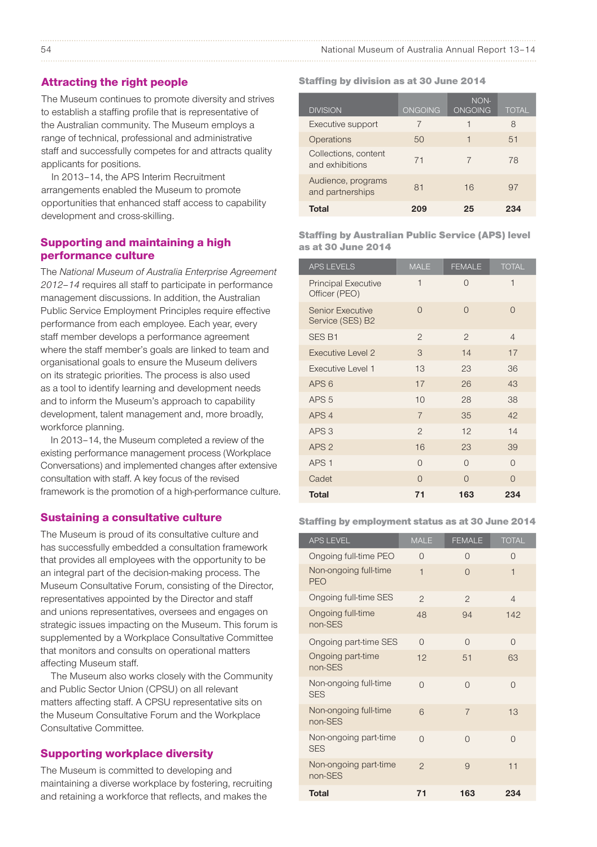#### Attracting the right people

The Museum continues to promote diversity and strives to establish a staffing profile that is representative of the Australian community. The Museum employs a range of technical, professional and administrative staff and successfully competes for and attracts quality applicants for positions.

In 2013–14, the APS Interim Recruitment arrangements enabled the Museum to promote opportunities that enhanced staff access to capability development and cross-skilling.

#### Supporting and maintaining a high performance culture

The *National Museum of Australia Enterprise Agreement 2012–14* requires all staff to participate in performance management discussions. In addition, the Australian Public Service Employment Principles require effective performance from each employee. Each year, every staff member develops a performance agreement where the staff member's goals are linked to team and organisational goals to ensure the Museum delivers on its strategic priorities. The process is also used as a tool to identify learning and development needs and to inform the Museum's approach to capability development, talent management and, more broadly, workforce planning.

In 2013–14, the Museum completed a review of the existing performance management process (Workplace Conversations) and implemented changes after extensive consultation with staff. A key focus of the revised framework is the promotion of a high-performance culture.

#### Sustaining a consultative culture

The Museum is proud of its consultative culture and has successfully embedded a consultation framework that provides all employees with the opportunity to be an integral part of the decision-making process. The Museum Consultative Forum, consisting of the Director, representatives appointed by the Director and staff and unions representatives, oversees and engages on strategic issues impacting on the Museum. This forum is supplemented by a Workplace Consultative Committee that monitors and consults on operational matters affecting Museum staff.

The Museum also works closely with the Community and Public Sector Union (CPSU) on all relevant matters affecting staff. A CPSU representative sits on the Museum Consultative Forum and the Workplace Consultative Committee.

#### Supporting workplace diversity

The Museum is committed to developing and maintaining a diverse workplace by fostering, recruiting and retaining a workforce that reflects, and makes the

#### Staffing by division as at 30 June 2014

| <b>DIVISION</b>                         | <b>ONGOING</b> | NON-<br><b>ONGOING</b> | <b>TOTAL</b> |
|-----------------------------------------|----------------|------------------------|--------------|
| Executive support                       |                |                        | 8            |
| Operations                              | $50^{6}$       | 1                      | 51           |
| Collections, content<br>and exhibitions | 71             |                        | 78           |
| Audience, programs<br>and partnerships  | 81             | 16                     | 97           |
| Total                                   |                | 25                     | 234          |

Staffing by Australian Public Service (APS) level as at 30 June 2014

| <b>APS LEVELS</b>                           | <b>MALE</b>              | <b>FEMALE</b>  | <b>TOTAL</b>   |
|---------------------------------------------|--------------------------|----------------|----------------|
| <b>Principal Executive</b><br>Officer (PEO) | $\overline{\phantom{a}}$ | $\Omega$       | $\mathbf{1}$   |
| <b>Senior Executive</b><br>Service (SES) B2 | $\Omega$                 | $\Omega$       | $\Omega$       |
| SES <sub>B1</sub>                           | $\overline{2}$           | $\mathfrak{p}$ | $\overline{4}$ |
| <b>Executive Level 2</b>                    | 3                        | 14             | 17             |
| Executive Level 1                           | 13                       | 23             | 36             |
| APS <sub>6</sub>                            | 17                       | 26             | 43             |
| APS <sub>5</sub>                            | 10                       | 28             | 38             |
| APS <sub>4</sub>                            | $\overline{7}$           | 35             | 42             |
| APS <sub>3</sub>                            | $\overline{c}$           | 12             | 14             |
| APS <sub>2</sub>                            | 16                       | 23             | 39             |
| APS <sub>1</sub>                            | $\Omega$                 | $\Omega$       | $\Omega$       |
| Cadet                                       | $\Omega$                 | $\Omega$       | $\Omega$       |
| <b>Total</b>                                | 71                       | 163            | 234            |

#### Staffing by employment status as at 30 June 2014

| <b>APS LEVEL</b>                    | <b>MALE</b>              | <b>FEMALE</b>  | <b>TOTAL</b>   |
|-------------------------------------|--------------------------|----------------|----------------|
| Ongoing full-time PEO               | $\Omega$                 | $\Omega$       | $\Omega$       |
| Non-ongoing full-time<br><b>PEO</b> | $\overline{\phantom{a}}$ | $\Omega$       | $\overline{1}$ |
| Ongoing full-time SES               | $\mathfrak{D}$           | $\mathfrak{D}$ | $\overline{4}$ |
| Ongoing full-time<br>non-SES        | 48                       | 94             | 142            |
| Ongoing part-time SES               | $\Omega$                 | $\Omega$       | $\Omega$       |
| Ongoing part-time<br>non-SES        | 12                       | 51             | 63             |
| Non-ongoing full-time<br><b>SES</b> | $\Omega$                 | $\Omega$       | $\Omega$       |
| Non-ongoing full-time<br>non-SES    | 6                        | $\overline{7}$ | 13             |
| Non-ongoing part-time<br><b>SES</b> | $\Omega$                 | $\Omega$       | $\Omega$       |
| Non-ongoing part-time<br>non-SES    | $\mathfrak{D}$           | $\overline{9}$ | 11             |
| <b>Total</b>                        | 71                       | 163            | 234            |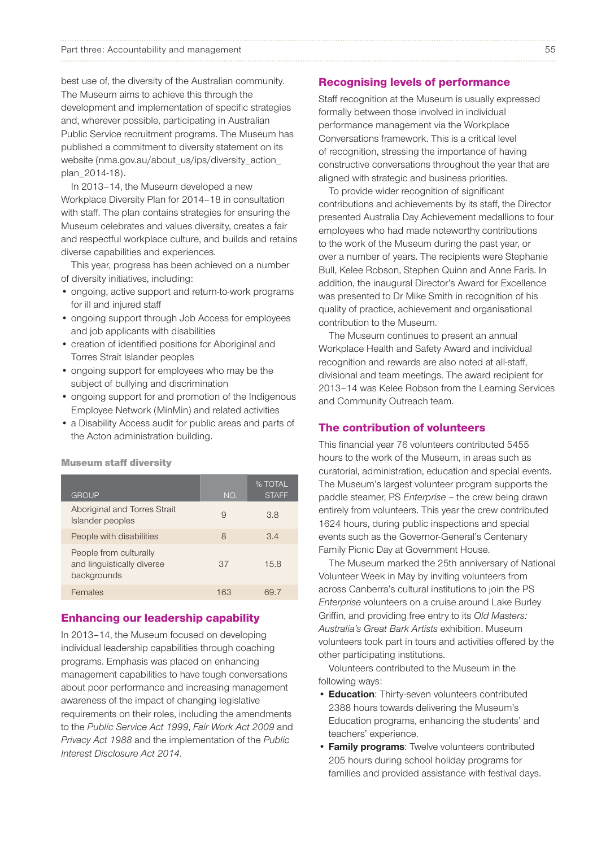best use of, the diversity of the Australian community. The Museum aims to achieve this through the development and implementation of specific strategies and, wherever possible, participating in Australian Public Service recruitment programs. The Museum has published a commitment to diversity statement on its website (nma.gov.au/about\_us/ips/diversity\_action\_ plan\_2014-18).

In 2013–14, the Museum developed a new Workplace Diversity Plan for 2014–18 in consultation with staff. The plan contains strategies for ensuring the Museum celebrates and values diversity, creates a fair and respectful workplace culture, and builds and retains diverse capabilities and experiences.

This year, progress has been achieved on a number of diversity initiatives, including:

- ongoing, active support and return-to-work programs for ill and injured staff
- ongoing support through Job Access for employees and job applicants with disabilities
- • creation of identified positions for Aboriginal and Torres Strait Islander peoples
- • ongoing support for employees who may be the subject of bullying and discrimination
- ongoing support for and promotion of the Indigenous Employee Network (MinMin) and related activities
- a Disability Access audit for public areas and parts of the Acton administration building.

Museum staff diversity

| <b>GROUP</b>                                                        | NO. | % TOTAL<br><b>STAFF</b> |
|---------------------------------------------------------------------|-----|-------------------------|
| Aboriginal and Torres Strait<br>Islander peoples                    | 9   | 38                      |
| People with disabilities                                            | 8   | $\overline{34}$         |
| People from culturally<br>and linguistically diverse<br>backgrounds | 37  | 15.8                    |
| Females                                                             | 163 | 69 7                    |

#### Enhancing our leadership capability

In 2013–14, the Museum focused on developing individual leadership capabilities through coaching programs. Emphasis was placed on enhancing management capabilities to have tough conversations about poor performance and increasing management awareness of the impact of changing legislative requirements on their roles, including the amendments to the *Public Service Act 1999*, *Fair Work Act 2009* and *Privacy Act 1988* and the implementation of the *Public Interest Disclosure Act 2014*.

#### Recognising levels of performance

Staff recognition at the Museum is usually expressed formally between those involved in individual performance management via the Workplace Conversations framework. This is a critical level of recognition, stressing the importance of having constructive conversations throughout the year that are aligned with strategic and business priorities.

To provide wider recognition of significant contributions and achievements by its staff, the Director presented Australia Day Achievement medallions to four employees who had made noteworthy contributions to the work of the Museum during the past year, or over a number of years. The recipients were Stephanie Bull, Kelee Robson, Stephen Quinn and Anne Faris. In addition, the inaugural Director's Award for Excellence was presented to Dr Mike Smith in recognition of his quality of practice, achievement and organisational contribution to the Museum.

The Museum continues to present an annual Workplace Health and Safety Award and individual recognition and rewards are also noted at all-staff, divisional and team meetings. The award recipient for 2013–14 was Kelee Robson from the Learning Services and Community Outreach team.

### The contribution of volunteers

This financial year 76 volunteers contributed 5455 hours to the work of the Museum, in areas such as curatorial, administration, education and special events. The Museum's largest volunteer program supports the paddle steamer, PS *Enterprise* – the crew being drawn entirely from volunteers. This year the crew contributed 1624 hours, during public inspections and special events such as the Governor-General's Centenary Family Picnic Day at Government House.

The Museum marked the 25th anniversary of National Volunteer Week in May by inviting volunteers from across Canberra's cultural institutions to join the PS *Enterprise* volunteers on a cruise around Lake Burley Griffin, and providing free entry to its *Old Masters: Australia's Great Bark Artists* exhibition. Museum volunteers took part in tours and activities offered by the other participating institutions.

Volunteers contributed to the Museum in the following ways:

- Education: Thirty-seven volunteers contributed 2388 hours towards delivering the Museum's Education programs, enhancing the students' and teachers' experience.
- Family programs: Twelve volunteers contributed 205 hours during school holiday programs for families and provided assistance with festival days.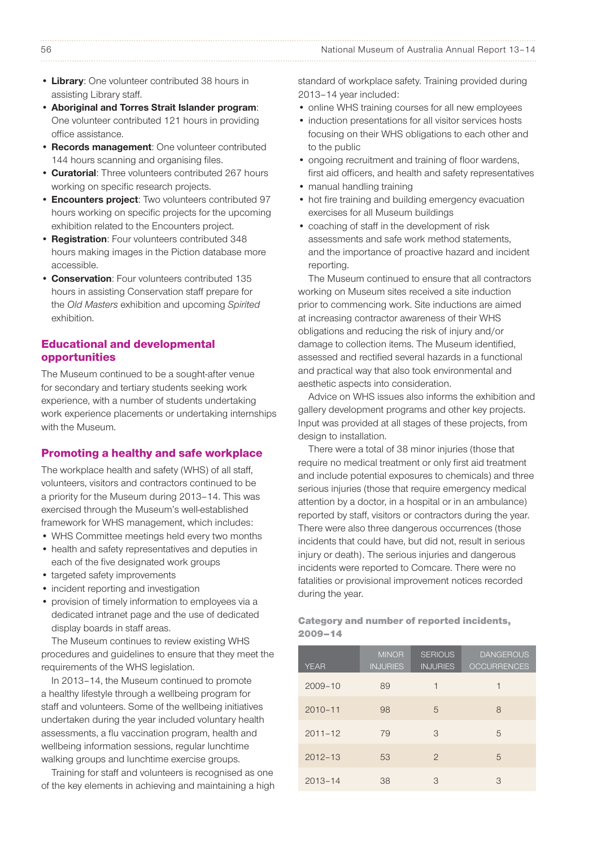#### 56 National Museum of Australia Annual Report 13–14

- Library: One volunteer contributed 38 hours in assisting Library staff.
- • Aboriginal and Torres Strait Islander program: One volunteer contributed 121 hours in providing office assistance.
- Records management: One volunteer contributed 144 hours scanning and organising files.
- Curatorial: Three volunteers contributed 267 hours working on specific research projects.
- Encounters project: Two volunteers contributed 97 hours working on specific projects for the upcoming exhibition related to the Encounters project.
- Registration: Four volunteers contributed 348 hours making images in the Piction database more accessible.
- Conservation: Four volunteers contributed 135 hours in assisting Conservation staff prepare for the *Old Masters* exhibition and upcoming *Spirited*  exhibition.

## Educational and developmental opportunities

The Museum continued to be a sought-after venue for secondary and tertiary students seeking work experience, with a number of students undertaking work experience placements or undertaking internships with the Museum.

#### Promoting a healthy and safe workplace

The workplace health and safety (WHS) of all staff, volunteers, visitors and contractors continued to be a priority for the Museum during 2013–14. This was exercised through the Museum's well-established framework for WHS management, which includes:

- • WHS Committee meetings held every two months
- • health and safety representatives and deputies in each of the five designated work groups
- targeted safety improvements
- incident reporting and investigation
- provision of timely information to employees via a dedicated intranet page and the use of dedicated display boards in staff areas.

The Museum continues to review existing WHS procedures and guidelines to ensure that they meet the requirements of the WHS legislation.

In 2013–14, the Museum continued to promote a healthy lifestyle through a wellbeing program for staff and volunteers. Some of the wellbeing initiatives undertaken during the year included voluntary health assessments, a flu vaccination program, health and wellbeing information sessions, regular lunchtime walking groups and lunchtime exercise groups.

Training for staff and volunteers is recognised as one of the key elements in achieving and maintaining a high standard of workplace safety. Training provided during 2013–14 year included:

- online WHS training courses for all new employees
- induction presentations for all visitor services hosts focusing on their WHS obligations to each other and to the public
- ongoing recruitment and training of floor wardens, first aid officers, and health and safety representatives
- manual handling training
- hot fire training and building emergency evacuation exercises for all Museum buildings
- • coaching of staff in the development of risk assessments and safe work method statements, and the importance of proactive hazard and incident reporting.

The Museum continued to ensure that all contractors working on Museum sites received a site induction prior to commencing work. Site inductions are aimed at increasing contractor awareness of their WHS obligations and reducing the risk of injury and/or damage to collection items. The Museum identified, assessed and rectified several hazards in a functional and practical way that also took environmental and aesthetic aspects into consideration.

Advice on WHS issues also informs the exhibition and gallery development programs and other key projects. Input was provided at all stages of these projects, from design to installation.

There were a total of 38 minor injuries (those that require no medical treatment or only first aid treatment and include potential exposures to chemicals) and three serious injuries (those that require emergency medical attention by a doctor, in a hospital or in an ambulance) reported by staff, visitors or contractors during the year. There were also three dangerous occurrences (those incidents that could have, but did not, result in serious injury or death). The serious injuries and dangerous incidents were reported to Comcare. There were no fatalities or provisional improvement notices recorded during the year.

Category and number of reported incidents, 2009–14

| <b>YEAR</b> | <b>MINOR</b><br><b>INJURIES</b> | <b>SERIOUS</b><br><b>INJURIES</b> | <b>DANGEROUS</b><br><b>OCCURRENCES</b> |
|-------------|---------------------------------|-----------------------------------|----------------------------------------|
| $2009 - 10$ | 89                              | 1                                 | 1                                      |
| $2010 - 11$ | 98                              | 5                                 | 8                                      |
| $2011 - 12$ | 79                              | 3                                 | 5                                      |
| $2012 - 13$ | 53                              | $\mathfrak{D}$                    | 5                                      |
| $2013 - 14$ | 38                              | 3                                 | 3                                      |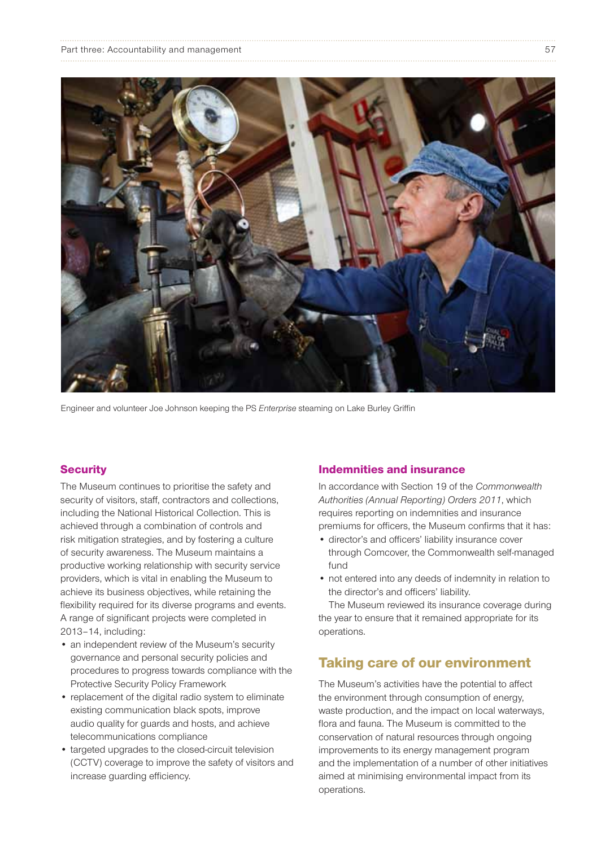| Part three: Accountability and management |  |
|-------------------------------------------|--|
|                                           |  |



Engineer and volunteer Joe Johnson keeping the PS *Enterprise* steaming on Lake Burley Griffin

#### **Security**

The Museum continues to prioritise the safety and security of visitors, staff, contractors and collections, including the National Historical Collection. This is achieved through a combination of controls and risk mitigation strategies, and by fostering a culture of security awareness. The Museum maintains a productive working relationship with security service providers, which is vital in enabling the Museum to achieve its business objectives, while retaining the flexibility required for its diverse programs and events. A range of significant projects were completed in 2013–14, including:

- an independent review of the Museum's security governance and personal security policies and procedures to progress towards compliance with the Protective Security Policy Framework
- replacement of the digital radio system to eliminate existing communication black spots, improve audio quality for guards and hosts, and achieve telecommunications compliance
- targeted upgrades to the closed-circuit television (CCTV) coverage to improve the safety of visitors and increase guarding efficiency.

#### Indemnities and insurance

In accordance with Section 19 of the *Commonwealth Authorities (Annual Reporting) Orders 2011*, which requires reporting on indemnities and insurance premiums for officers, the Museum confirms that it has:

- director's and officers' liability insurance cover through Comcover, the Commonwealth self-managed fund
- not entered into any deeds of indemnity in relation to the director's and officers' liability.

The Museum reviewed its insurance coverage during the year to ensure that it remained appropriate for its operations.

# Taking care of our environment

The Museum's activities have the potential to affect the environment through consumption of energy, waste production, and the impact on local waterways, flora and fauna. The Museum is committed to the conservation of natural resources through ongoing improvements to its energy management program and the implementation of a number of other initiatives aimed at minimising environmental impact from its operations.